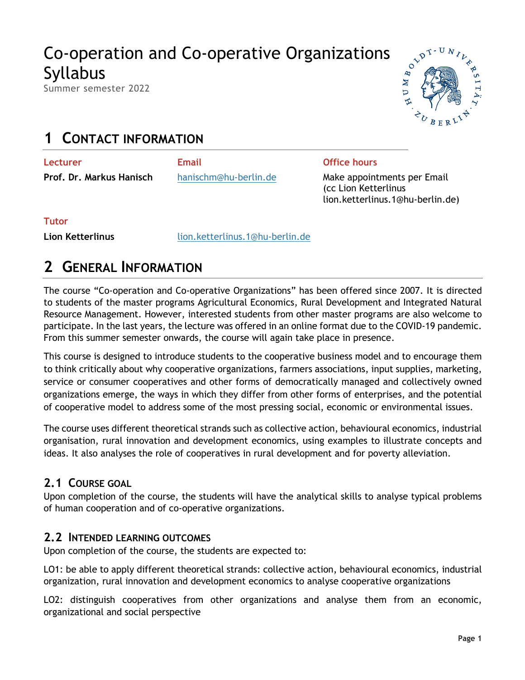# Co-operation and Co-operative Organizations Syllabus

Summer semester 2022



# **1 CONTACT INFORMATION**

| Lecturer                 | Email                 | <b>Office hours</b>                                                                     |
|--------------------------|-----------------------|-----------------------------------------------------------------------------------------|
| Prof. Dr. Markus Hanisch | hanischm@hu-berlin.de | Make appointments per Email<br>(cc Lion Ketterlinus<br>lion.ketterlinus.1@hu-berlin.de) |

#### **Tutor**

**Lion Ketterlinus** lion.ketterlinus.1@hu-berlin.de

# **2 GENERAL INFORMATION**

The course "Co-operation and Co-operative Organizations" has been offered since 2007. It is directed to students of the master programs Agricultural Economics, Rural Development and Integrated Natural Resource Management. However, interested students from other master programs are also welcome to participate. In the last years, the lecture was offered in an online format due to the COVID-19 pandemic. From this summer semester onwards, the course will again take place in presence.

This course is designed to introduce students to the cooperative business model and to encourage them to think critically about why cooperative organizations, farmers associations, input supplies, marketing, service or consumer cooperatives and other forms of democratically managed and collectively owned organizations emerge, the ways in which they differ from other forms of enterprises, and the potential of cooperative model to address some of the most pressing social, economic or environmental issues.

The course uses different theoretical strands such as collective action, behavioural economics, industrial organisation, rural innovation and development economics, using examples to illustrate concepts and ideas. It also analyses the role of cooperatives in rural development and for poverty alleviation.

#### **2.1 COURSE GOAL**

Upon completion of the course, the students will have the analytical skills to analyse typical problems of human cooperation and of co-operative organizations.

#### **2.2 INTENDED LEARNING OUTCOMES**

Upon completion of the course, the students are expected to:

LO1: be able to apply different theoretical strands: collective action, behavioural economics, industrial organization, rural innovation and development economics to analyse cooperative organizations

LO2: distinguish cooperatives from other organizations and analyse them from an economic, organizational and social perspective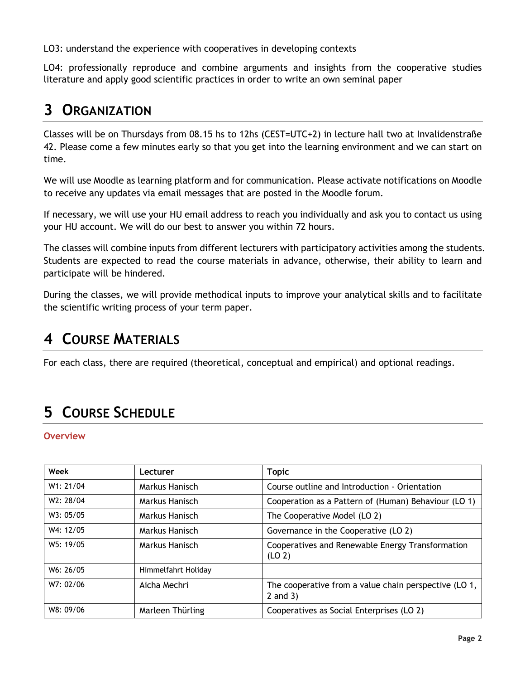LO3: understand the experience with cooperatives in developing contexts

LO4: professionally reproduce and combine arguments and insights from the cooperative studies literature and apply good scientific practices in order to write an own seminal paper

### **3 ORGANIZATION**

Classes will be on Thursdays from 08.15 hs to 12hs (CEST=UTC+2) in lecture hall two at Invalidenstraße 42. Please come a few minutes early so that you get into the learning environment and we can start on time.

We will use Moodle as learning platform and for communication. Please activate notifications on Moodle to receive any updates via email messages that are posted in the Moodle forum.

If necessary, we will use your HU email address to reach you individually and ask you to contact us using your HU account. We will do our best to answer you within 72 hours.

The classes will combine inputs from different lecturers with participatory activities among the students. Students are expected to read the course materials in advance, otherwise, their ability to learn and participate will be hindered.

During the classes, we will provide methodical inputs to improve your analytical skills and to facilitate the scientific writing process of your term paper.

### **4 COURSE MATERIALS**

For each class, there are required (theoretical, conceptual and empirical) and optional readings.

# **5 COURSE SCHEDULE**

**Overview**

| Week      | Lecturer            | <b>Topic</b>                                                          |
|-----------|---------------------|-----------------------------------------------------------------------|
| W1: 21/04 | Markus Hanisch      | Course outline and Introduction - Orientation                         |
| W2: 28/04 | Markus Hanisch      | Cooperation as a Pattern of (Human) Behaviour (LO 1)                  |
| W3: 05/05 | Markus Hanisch      | The Cooperative Model (LO 2)                                          |
| W4: 12/05 | Markus Hanisch      | Governance in the Cooperative (LO 2)                                  |
| W5: 19/05 | Markus Hanisch      | Cooperatives and Renewable Energy Transformation<br>(LO 2)            |
| W6: 26/05 | Himmelfahrt Holiday |                                                                       |
| W7: 02/06 | Aicha Mechri        | The cooperative from a value chain perspective (LO 1,<br>$2$ and $3)$ |
| W8: 09/06 | Marleen Thürling    | Cooperatives as Social Enterprises (LO 2)                             |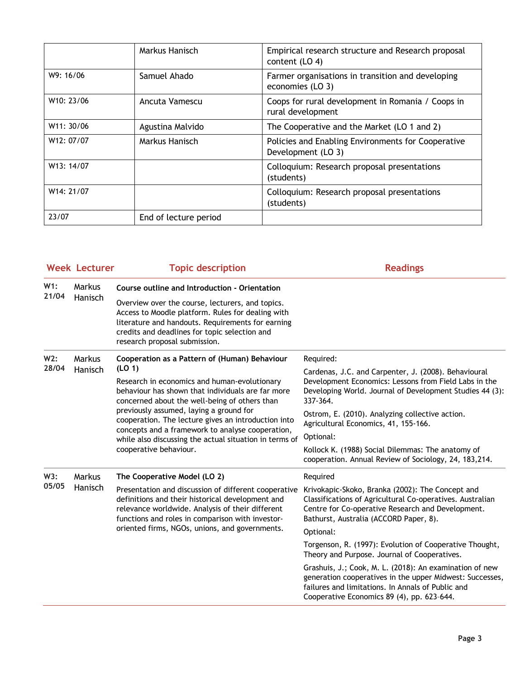|            | Markus Hanisch        | Empirical research structure and Research proposal<br>content (LO 4)     |
|------------|-----------------------|--------------------------------------------------------------------------|
| W9: 16/06  | Samuel Ahado          | Farmer organisations in transition and developing<br>economies (LO 3)    |
| W10: 23/06 | Ancuta Vamescu        | Coops for rural development in Romania / Coops in<br>rural development   |
| W11: 30/06 | Agustina Malvido      | The Cooperative and the Market (LO 1 and 2)                              |
| W12: 07/07 | Markus Hanisch        | Policies and Enabling Environments for Cooperative<br>Development (LO 3) |
| W13: 14/07 |                       | Colloquium: Research proposal presentations<br>(students)                |
| W14: 21/07 |                       | Colloquium: Research proposal presentations<br>(students)                |
| 23/07      | End of lecture period |                                                                          |

|                 | <b>Week Lecturer</b>     | <b>Topic description</b>                                                                                                                                                                                                                                                                                                                                                                                                                                            | <b>Readings</b>                                                                                                                                                                                                           |
|-----------------|--------------------------|---------------------------------------------------------------------------------------------------------------------------------------------------------------------------------------------------------------------------------------------------------------------------------------------------------------------------------------------------------------------------------------------------------------------------------------------------------------------|---------------------------------------------------------------------------------------------------------------------------------------------------------------------------------------------------------------------------|
| $W1$ :<br>21/04 | <b>Markus</b><br>Hanisch | Course outline and Introduction - Orientation                                                                                                                                                                                                                                                                                                                                                                                                                       |                                                                                                                                                                                                                           |
|                 |                          | Overview over the course, lecturers, and topics.<br>Access to Moodle platform. Rules for dealing with<br>literature and handouts. Requirements for earning<br>credits and deadlines for topic selection and<br>research proposal submission.                                                                                                                                                                                                                        |                                                                                                                                                                                                                           |
| W2:<br>28/04    | <b>Markus</b><br>Hanisch | Cooperation as a Pattern of (Human) Behaviour<br>(LO <sub>1</sub> )<br>Research in economics and human-evolutionary<br>behaviour has shown that individuals are far more<br>concerned about the well-being of others than<br>previously assumed, laying a ground for<br>cooperation. The lecture gives an introduction into<br>concepts and a framework to analyse cooperation,<br>while also discussing the actual situation in terms of<br>cooperative behaviour. | Required:                                                                                                                                                                                                                 |
|                 |                          |                                                                                                                                                                                                                                                                                                                                                                                                                                                                     | Cardenas, J.C. and Carpenter, J. (2008). Behavioural<br>Development Economics: Lessons from Field Labs in the<br>Developing World. Journal of Development Studies 44 (3):<br>337-364.                                     |
|                 |                          |                                                                                                                                                                                                                                                                                                                                                                                                                                                                     | Ostrom, E. (2010). Analyzing collective action.<br>Agricultural Economics, 41, 155-166.                                                                                                                                   |
|                 |                          |                                                                                                                                                                                                                                                                                                                                                                                                                                                                     | Optional:                                                                                                                                                                                                                 |
|                 |                          |                                                                                                                                                                                                                                                                                                                                                                                                                                                                     | Kollock K. (1988) Social Dilemmas: The anatomy of<br>cooperation. Annual Review of Sociology, 24, 183,214.                                                                                                                |
| W3:<br>05/05    | <b>Markus</b>            | The Cooperative Model (LO 2)                                                                                                                                                                                                                                                                                                                                                                                                                                        | Required                                                                                                                                                                                                                  |
|                 | Hanisch                  | Presentation and discussion of different cooperative<br>definitions and their historical development and<br>relevance worldwide. Analysis of their different<br>functions and roles in comparison with investor-<br>oriented firms, NGOs, unions, and governments.                                                                                                                                                                                                  | Krivokapic-Skoko, Branka (2002): The Concept and<br>Classifications of Agricultural Co-operatives. Australian<br>Centre for Co-operative Research and Development.<br>Bathurst, Australia (ACCORD Paper, 8).<br>Optional: |
|                 |                          |                                                                                                                                                                                                                                                                                                                                                                                                                                                                     | Torgenson, R. (1997): Evolution of Cooperative Thought,<br>Theory and Purpose. Journal of Cooperatives.                                                                                                                   |
|                 |                          |                                                                                                                                                                                                                                                                                                                                                                                                                                                                     | Grashuis, J.; Cook, M. L. (2018): An examination of new<br>generation cooperatives in the upper Midwest: Successes,<br>failures and limitations. In Annals of Public and<br>Cooperative Economics 89 (4), pp. 623-644.    |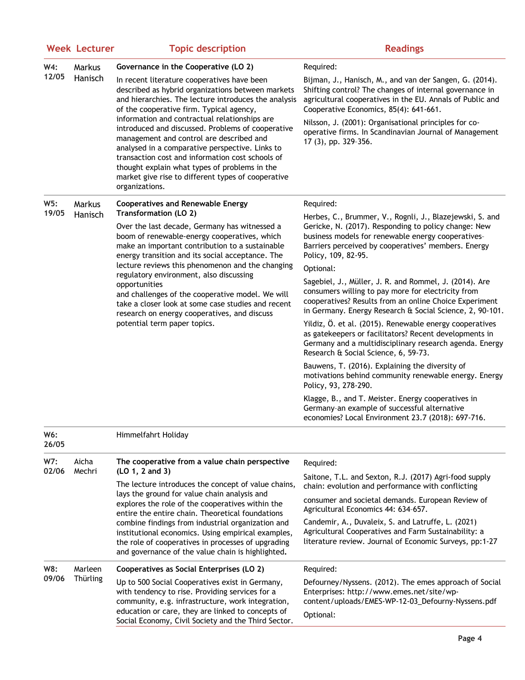|              | <b>Week Lecturer</b> | <b>Topic description</b>                                                                                                                                                                                                                                                                                                                                                                                                                                                                                                                                                               | <b>Readings</b>                                                                                                                                                                                                                                                                    |
|--------------|----------------------|----------------------------------------------------------------------------------------------------------------------------------------------------------------------------------------------------------------------------------------------------------------------------------------------------------------------------------------------------------------------------------------------------------------------------------------------------------------------------------------------------------------------------------------------------------------------------------------|------------------------------------------------------------------------------------------------------------------------------------------------------------------------------------------------------------------------------------------------------------------------------------|
| W4:<br>12/05 | Markus<br>Hanisch    | Governance in the Cooperative (LO 2)                                                                                                                                                                                                                                                                                                                                                                                                                                                                                                                                                   | Required:                                                                                                                                                                                                                                                                          |
|              |                      | In recent literature cooperatives have been<br>described as hybrid organizations between markets<br>and hierarchies. The lecture introduces the analysis<br>of the cooperative firm. Typical agency,<br>information and contractual relationships are<br>introduced and discussed. Problems of cooperative<br>management and control are described and<br>analysed in a comparative perspective. Links to<br>transaction cost and information cost schools of<br>thought explain what types of problems in the<br>market give rise to different types of cooperative<br>organizations. | Bijman, J., Hanisch, M., and van der Sangen, G. (2014).<br>Shifting control? The changes of internal governance in<br>agricultural cooperatives in the EU. Annals of Public and<br>Cooperative Economics, 85(4): 641-661.<br>Nilsson, J. (2001): Organisational principles for co- |
|              |                      |                                                                                                                                                                                                                                                                                                                                                                                                                                                                                                                                                                                        | operative firms. In Scandinavian Journal of Management<br>17 (3), pp. 329-356.                                                                                                                                                                                                     |
| W5:          | Markus<br>Hanisch    | <b>Cooperatives and Renewable Energy</b><br>Transformation (LO 2)<br>Over the last decade, Germany has witnessed a<br>boom of renewable-energy cooperatives, which<br>make an important contribution to a sustainable<br>energy transition and its social acceptance. The<br>lecture reviews this phenomenon and the changing<br>regulatory environment, also discussing<br>opportunities<br>and challenges of the cooperative model. We will<br>take a closer look at some case studies and recent<br>research on energy cooperatives, and discuss<br>potential term paper topics.    | Required:                                                                                                                                                                                                                                                                          |
| 19/05        |                      |                                                                                                                                                                                                                                                                                                                                                                                                                                                                                                                                                                                        | Herbes, C., Brummer, V., Rognli, J., Blazejewski, S. and<br>Gericke, N. (2017). Responding to policy change: New<br>business models for renewable energy cooperatives-<br>Barriers perceived by cooperatives' members. Energy<br>Policy, 109, 82-95.                               |
|              |                      |                                                                                                                                                                                                                                                                                                                                                                                                                                                                                                                                                                                        | Optional:                                                                                                                                                                                                                                                                          |
|              |                      |                                                                                                                                                                                                                                                                                                                                                                                                                                                                                                                                                                                        | Sagebiel, J., Müller, J. R. and Rommel, J. (2014). Are<br>consumers willing to pay more for electricity from<br>cooperatives? Results from an online Choice Experiment<br>in Germany. Energy Research & Social Science, 2, 90-101.                                                 |
|              |                      |                                                                                                                                                                                                                                                                                                                                                                                                                                                                                                                                                                                        | Yildiz, Ö. et al. (2015). Renewable energy cooperatives<br>as gatekeepers or facilitators? Recent developments in<br>Germany and a multidisciplinary research agenda. Energy<br>Research & Social Science, 6, 59-73.                                                               |
|              |                      |                                                                                                                                                                                                                                                                                                                                                                                                                                                                                                                                                                                        | Bauwens, T. (2016). Explaining the diversity of<br>motivations behind community renewable energy. Energy<br>Policy, 93, 278-290.                                                                                                                                                   |
|              |                      |                                                                                                                                                                                                                                                                                                                                                                                                                                                                                                                                                                                        | Klagge, B., and T. Meister. Energy cooperatives in<br>Germany-an example of successful alternative<br>economies? Local Environment 23.7 (2018): 697-716.                                                                                                                           |
| W6:<br>26/05 |                      | Himmelfahrt Holiday                                                                                                                                                                                                                                                                                                                                                                                                                                                                                                                                                                    |                                                                                                                                                                                                                                                                                    |
| W7:          | Aicha<br>Mechri      | The cooperative from a value chain perspective<br>(LO 1, 2 and 3)<br>The lecture introduces the concept of value chains,<br>lays the ground for value chain analysis and<br>explores the role of the cooperatives within the<br>entire the entire chain. Theoretical foundations<br>combine findings from industrial organization and<br>institutional economics. Using empirical examples,<br>the role of cooperatives in processes of upgrading<br>and governance of the value chain is highlighted.                                                                                 | Required:                                                                                                                                                                                                                                                                          |
| 02/06        |                      |                                                                                                                                                                                                                                                                                                                                                                                                                                                                                                                                                                                        | Saitone, T.L. and Sexton, R.J. (2017) Agri-food supply<br>chain: evolution and performance with conflicting                                                                                                                                                                        |
|              |                      |                                                                                                                                                                                                                                                                                                                                                                                                                                                                                                                                                                                        | consumer and societal demands. European Review of<br>Agricultural Economics 44: 634-657.                                                                                                                                                                                           |
|              |                      |                                                                                                                                                                                                                                                                                                                                                                                                                                                                                                                                                                                        | Candemir, A., Duvaleix, S. and Latruffe, L. (2021)<br>Agricultural Cooperatives and Farm Sustainability: a<br>literature review. Journal of Economic Surveys, pp:1-27                                                                                                              |
| W8:          | Marleen              | Cooperatives as Social Enterprises (LO 2)                                                                                                                                                                                                                                                                                                                                                                                                                                                                                                                                              | Required:                                                                                                                                                                                                                                                                          |
| 09/06        | Thürling             | Up to 500 Social Cooperatives exist in Germany,<br>with tendency to rise. Providing services for a<br>community, e.g. infrastructure, work integration,<br>education or care, they are linked to concepts of<br>Social Economy, Civil Society and the Third Sector.                                                                                                                                                                                                                                                                                                                    | Defourney/Nyssens. (2012). The emes approach of Social<br>Enterprises: http://www.emes.net/site/wp-<br>content/uploads/EMES-WP-12-03_Defourny-Nyssens.pdf<br>Optional:                                                                                                             |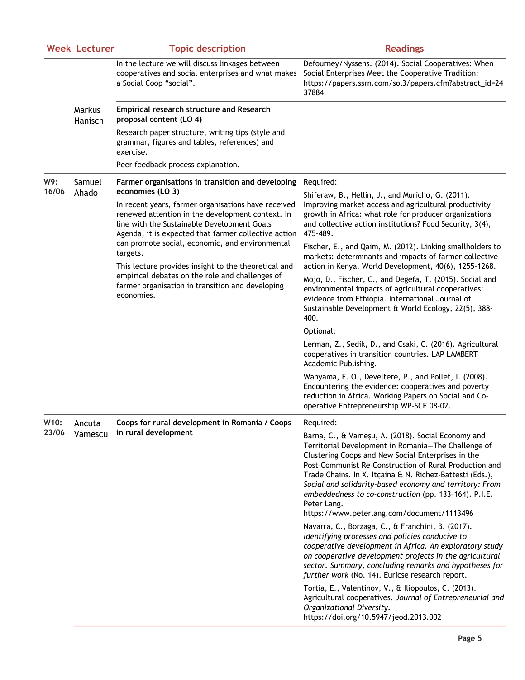|              | <b>Week Lecturer</b> | <b>Topic description</b>                                                                                                                                                                                                                                                                                                                                                                                                                                                                                                            | <b>Readings</b>                                                                                                                                                                                                                                                                                                                                                                                                                                                        |
|--------------|----------------------|-------------------------------------------------------------------------------------------------------------------------------------------------------------------------------------------------------------------------------------------------------------------------------------------------------------------------------------------------------------------------------------------------------------------------------------------------------------------------------------------------------------------------------------|------------------------------------------------------------------------------------------------------------------------------------------------------------------------------------------------------------------------------------------------------------------------------------------------------------------------------------------------------------------------------------------------------------------------------------------------------------------------|
|              |                      | In the lecture we will discuss linkages between<br>cooperatives and social enterprises and what makes<br>a Social Coop "social".                                                                                                                                                                                                                                                                                                                                                                                                    | Defourney/Nyssens. (2014). Social Cooperatives: When<br>Social Enterprises Meet the Cooperative Tradition:<br>https://papers.ssrn.com/sol3/papers.cfm?abstract_id=24<br>37884                                                                                                                                                                                                                                                                                          |
|              | Markus<br>Hanisch    | Empirical research structure and Research<br>proposal content (LO 4)                                                                                                                                                                                                                                                                                                                                                                                                                                                                |                                                                                                                                                                                                                                                                                                                                                                                                                                                                        |
|              |                      | Research paper structure, writing tips (style and<br>grammar, figures and tables, references) and<br>exercise.                                                                                                                                                                                                                                                                                                                                                                                                                      |                                                                                                                                                                                                                                                                                                                                                                                                                                                                        |
|              |                      | Peer feedback process explanation.                                                                                                                                                                                                                                                                                                                                                                                                                                                                                                  |                                                                                                                                                                                                                                                                                                                                                                                                                                                                        |
| W9:<br>16/06 | Samuel               | Farmer organisations in transition and developing<br>economies (LO 3)<br>In recent years, farmer organisations have received<br>renewed attention in the development context. In<br>line with the Sustainable Development Goals<br>Agenda, it is expected that farmer collective action<br>can promote social, economic, and environmental<br>targets.<br>This lecture provides insight to the theoretical and<br>empirical debates on the role and challenges of<br>farmer organisation in transition and developing<br>economies. | Required:                                                                                                                                                                                                                                                                                                                                                                                                                                                              |
|              | Ahado                |                                                                                                                                                                                                                                                                                                                                                                                                                                                                                                                                     | Shiferaw, B., Hellin, J., and Muricho, G. (2011).<br>Improving market access and agricultural productivity<br>growth in Africa: what role for producer organizations<br>and collective action institutions? Food Security, 3(4),<br>475-489.                                                                                                                                                                                                                           |
|              |                      |                                                                                                                                                                                                                                                                                                                                                                                                                                                                                                                                     | Fischer, E., and Qaim, M. (2012). Linking smallholders to<br>markets: determinants and impacts of farmer collective<br>action in Kenya. World Development, 40(6), 1255-1268.                                                                                                                                                                                                                                                                                           |
|              |                      |                                                                                                                                                                                                                                                                                                                                                                                                                                                                                                                                     | Mojo, D., Fischer, C., and Degefa, T. (2015). Social and<br>environmental impacts of agricultural cooperatives:<br>evidence from Ethiopia. International Journal of<br>Sustainable Development & World Ecology, 22(5), 388-<br>400.                                                                                                                                                                                                                                    |
|              |                      |                                                                                                                                                                                                                                                                                                                                                                                                                                                                                                                                     | Optional:                                                                                                                                                                                                                                                                                                                                                                                                                                                              |
|              |                      |                                                                                                                                                                                                                                                                                                                                                                                                                                                                                                                                     | Lerman, Z., Sedik, D., and Csaki, C. (2016). Agricultural<br>cooperatives in transition countries. LAP LAMBERT<br>Academic Publishing.                                                                                                                                                                                                                                                                                                                                 |
|              |                      |                                                                                                                                                                                                                                                                                                                                                                                                                                                                                                                                     | Wanyama, F. O., Develtere, P., and Pollet, I. (2008).<br>Encountering the evidence: cooperatives and poverty<br>reduction in Africa. Working Papers on Social and Co-<br>operative Entrepreneurship WP-SCE 08-02.                                                                                                                                                                                                                                                      |
| W10:         | Ancuta               | Coops for rural development in Romania / Coops                                                                                                                                                                                                                                                                                                                                                                                                                                                                                      | Required:                                                                                                                                                                                                                                                                                                                                                                                                                                                              |
| 23/06        | Vamescu              | in rural development                                                                                                                                                                                                                                                                                                                                                                                                                                                                                                                | Barna, C., & Vameșu, A. (2018). Social Economy and<br>Territorial Development in Romania-The Challenge of<br>Clustering Coops and New Social Enterprises in the<br>Post-Communist Re-Construction of Rural Production and<br>Trade Chains. In X. Itçaina & N. Richez-Battesti (Eds.),<br>Social and solidarity-based economy and territory: From<br>embeddedness to co-construction (pp. 133-164). P.I.E.<br>Peter Lang.<br>https://www.peterlang.com/document/1113496 |
|              |                      |                                                                                                                                                                                                                                                                                                                                                                                                                                                                                                                                     | Navarra, C., Borzaga, C., & Franchini, B. (2017).<br>Identifying processes and policies conducive to<br>cooperative development in Africa. An exploratory study<br>on cooperative development projects in the agricultural<br>sector. Summary, concluding remarks and hypotheses for<br>further work (No. 14). Euricse research report.                                                                                                                                |
|              |                      |                                                                                                                                                                                                                                                                                                                                                                                                                                                                                                                                     | Tortia, E., Valentinov, V., & Iliopoulos, C. (2013).<br>Agricultural cooperatives. Journal of Entrepreneurial and<br>Organizational Diversity.<br>https://doi.org/10.5947/jeod.2013.002                                                                                                                                                                                                                                                                                |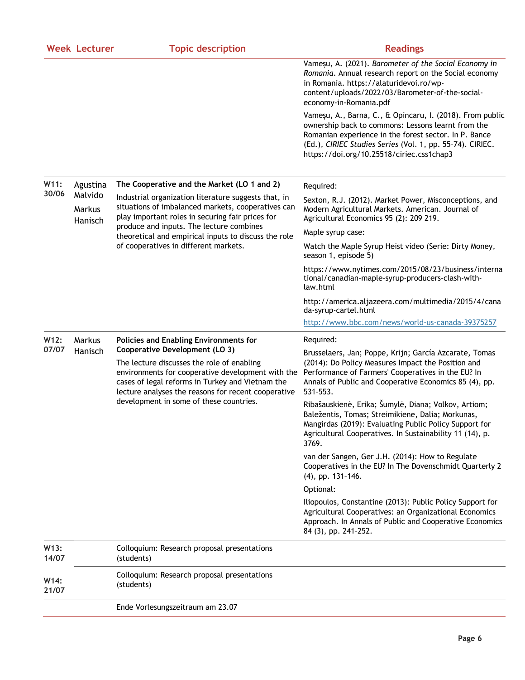|               | <b>Week Lecturer</b>         | <b>Topic description</b>                                                                                                                                                                                                                                                                | <b>Readings</b>                                                                                                                                                                                                                                                                    |
|---------------|------------------------------|-----------------------------------------------------------------------------------------------------------------------------------------------------------------------------------------------------------------------------------------------------------------------------------------|------------------------------------------------------------------------------------------------------------------------------------------------------------------------------------------------------------------------------------------------------------------------------------|
|               |                              |                                                                                                                                                                                                                                                                                         | Vameșu, A. (2021). Barometer of the Social Economy in<br>Romania. Annual research report on the Social economy<br>in Romania. https://alaturidevoi.ro/wp-<br>content/uploads/2022/03/Barometer-of-the-social-<br>economy-in-Romania.pdf                                            |
|               |                              |                                                                                                                                                                                                                                                                                         | Vameșu, A., Barna, C., & Opincaru, I. (2018). From public<br>ownership back to commons: Lessons learnt from the<br>Romanian experience in the forest sector. In P. Bance<br>(Ed.), CIRIEC Studies Series (Vol. 1, pp. 55-74). CIRIEC.<br>https://doi.org/10.25518/ciriec.css1chap3 |
| W11:          | Agustina                     | The Cooperative and the Market (LO 1 and 2)                                                                                                                                                                                                                                             | Required:                                                                                                                                                                                                                                                                          |
| 30/06         | Malvido<br>Markus<br>Hanisch | Industrial organization literature suggests that, in<br>situations of imbalanced markets, cooperatives can<br>play important roles in securing fair prices for<br>produce and inputs. The lecture combines<br>theoretical and empirical inputs to discuss the role                      | Sexton, R.J. (2012). Market Power, Misconceptions, and<br>Modern Agricultural Markets. American. Journal of<br>Agricultural Economics 95 (2): 209 219.                                                                                                                             |
|               |                              |                                                                                                                                                                                                                                                                                         | Maple syrup case:                                                                                                                                                                                                                                                                  |
|               |                              | of cooperatives in different markets.                                                                                                                                                                                                                                                   | Watch the Maple Syrup Heist video (Serie: Dirty Money,<br>season 1, episode 5)                                                                                                                                                                                                     |
|               |                              |                                                                                                                                                                                                                                                                                         | https://www.nytimes.com/2015/08/23/business/interna<br>tional/canadian-maple-syrup-producers-clash-with-<br>law.html                                                                                                                                                               |
|               |                              |                                                                                                                                                                                                                                                                                         | http://america.aljazeera.com/multimedia/2015/4/cana<br>da-syrup-cartel.html                                                                                                                                                                                                        |
|               |                              |                                                                                                                                                                                                                                                                                         | http://www.bbc.com/news/world-us-canada-39375257                                                                                                                                                                                                                                   |
| W12:          | Markus<br>Hanisch            | Policies and Enabling Environments for                                                                                                                                                                                                                                                  | Required:                                                                                                                                                                                                                                                                          |
| 07/07         |                              | Cooperative Development (LO 3)<br>The lecture discusses the role of enabling<br>environments for cooperative development with the<br>cases of legal reforms in Turkey and Vietnam the<br>lecture analyses the reasons for recent cooperative<br>development in some of these countries. | Brusselaers, Jan; Poppe, Krijn; García Azcarate, Tomas<br>(2014): Do Policy Measures Impact the Position and<br>Performance of Farmers' Cooperatives in the EU? In<br>Annals of Public and Cooperative Economics 85 (4), pp.<br>531-553.                                           |
|               |                              |                                                                                                                                                                                                                                                                                         | Ribašauskienė, Erika; Šumylė, Diana; Volkov, Artiom;<br>Baležentis, Tomas; Streimikiene, Dalia; Morkunas,<br>Mangirdas (2019): Evaluating Public Policy Support for<br>Agricultural Cooperatives. In Sustainability 11 (14), p.<br>3769.                                           |
|               |                              |                                                                                                                                                                                                                                                                                         | van der Sangen, Ger J.H. (2014): How to Regulate<br>Cooperatives in the EU? In The Dovenschmidt Quarterly 2<br>$(4)$ , pp. 131-146.                                                                                                                                                |
|               |                              |                                                                                                                                                                                                                                                                                         | Optional:                                                                                                                                                                                                                                                                          |
|               |                              |                                                                                                                                                                                                                                                                                         | Iliopoulos, Constantine (2013): Public Policy Support for<br>Agricultural Cooperatives: an Organizational Economics<br>Approach. In Annals of Public and Cooperative Economics<br>84 (3), pp. 241-252.                                                                             |
| W13:<br>14/07 |                              | Colloquium: Research proposal presentations<br>(students)                                                                                                                                                                                                                               |                                                                                                                                                                                                                                                                                    |
| W14:<br>21/07 |                              | Colloquium: Research proposal presentations<br>(students)                                                                                                                                                                                                                               |                                                                                                                                                                                                                                                                                    |
|               |                              | Ende Vorlesungszeitraum am 23.07                                                                                                                                                                                                                                                        |                                                                                                                                                                                                                                                                                    |
|               |                              |                                                                                                                                                                                                                                                                                         |                                                                                                                                                                                                                                                                                    |